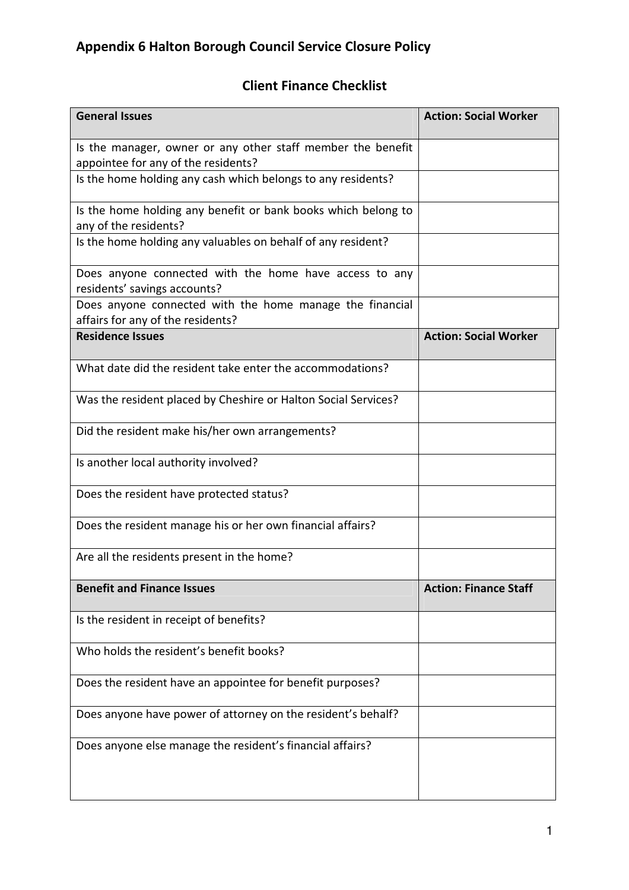## Client Finance Checklist

| <b>General Issues</b>                                                                              | <b>Action: Social Worker</b> |
|----------------------------------------------------------------------------------------------------|------------------------------|
| Is the manager, owner or any other staff member the benefit<br>appointee for any of the residents? |                              |
| Is the home holding any cash which belongs to any residents?                                       |                              |
| Is the home holding any benefit or bank books which belong to<br>any of the residents?             |                              |
| Is the home holding any valuables on behalf of any resident?                                       |                              |
| Does anyone connected with the home have access to any<br>residents' savings accounts?             |                              |
| Does anyone connected with the home manage the financial<br>affairs for any of the residents?      |                              |
| <b>Residence Issues</b>                                                                            | <b>Action: Social Worker</b> |
| What date did the resident take enter the accommodations?                                          |                              |
| Was the resident placed by Cheshire or Halton Social Services?                                     |                              |
| Did the resident make his/her own arrangements?                                                    |                              |
| Is another local authority involved?                                                               |                              |
| Does the resident have protected status?                                                           |                              |
| Does the resident manage his or her own financial affairs?                                         |                              |
| Are all the residents present in the home?                                                         |                              |
| <b>Benefit and Finance Issues</b>                                                                  | <b>Action: Finance Staff</b> |
| Is the resident in receipt of benefits?                                                            |                              |
| Who holds the resident's benefit books?                                                            |                              |
| Does the resident have an appointee for benefit purposes?                                          |                              |
| Does anyone have power of attorney on the resident's behalf?                                       |                              |
| Does anyone else manage the resident's financial affairs?                                          |                              |